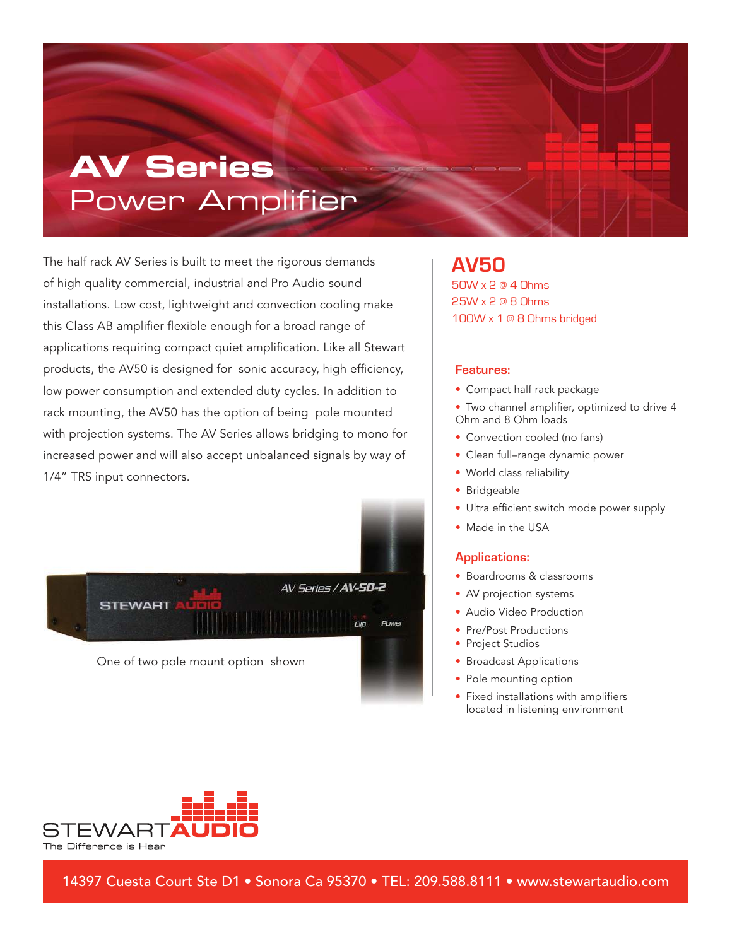# **AV Series** Power Amplifier

The half rack AV Series is built to meet the rigorous demands of high quality commercial, industrial and Pro Audio sound installations. Low cost, lightweight and convection cooling make this Class AB amplifier flexible enough for a broad range of applications requiring compact quiet amplification. Like all Stewart products, the AV50 is designed for sonic accuracy, high efficiency, low power consumption and extended duty cycles. In addition to rack mounting, the AV50 has the option of being pole mounted with projection systems. The AV Series allows bridging to mono for increased power and will also accept unbalanced signals by way of 1/4" TRS input connectors.



**AV50** 50W x 2 @ 4 Ohms 25W x 2 @ 8 Ohms 100W x 1 @ 8 Ohms bridged

#### **Features:**

- Compact half rack package
- Two channel amplifier, optimized to drive 4 Ohm and 8 Ohm loads
- Convection cooled (no fans)
- Clean full–range dynamic power
- World class reliability
- Bridgeable
- Ultra efficient switch mode power supply
- Made in the USA

### **Applications:**

- Boardrooms & classrooms
- AV projection systems
- Audio Video Production
- Pre/Post Productions
- Project Studios
- Broadcast Applications
- Pole mounting option
- Fixed installations with amplifiers located in listening environment



14397 Cuesta Court Ste D1 • Sonora Ca 95370 • TEL: 209.588.8111 • www.stewartaudio.com